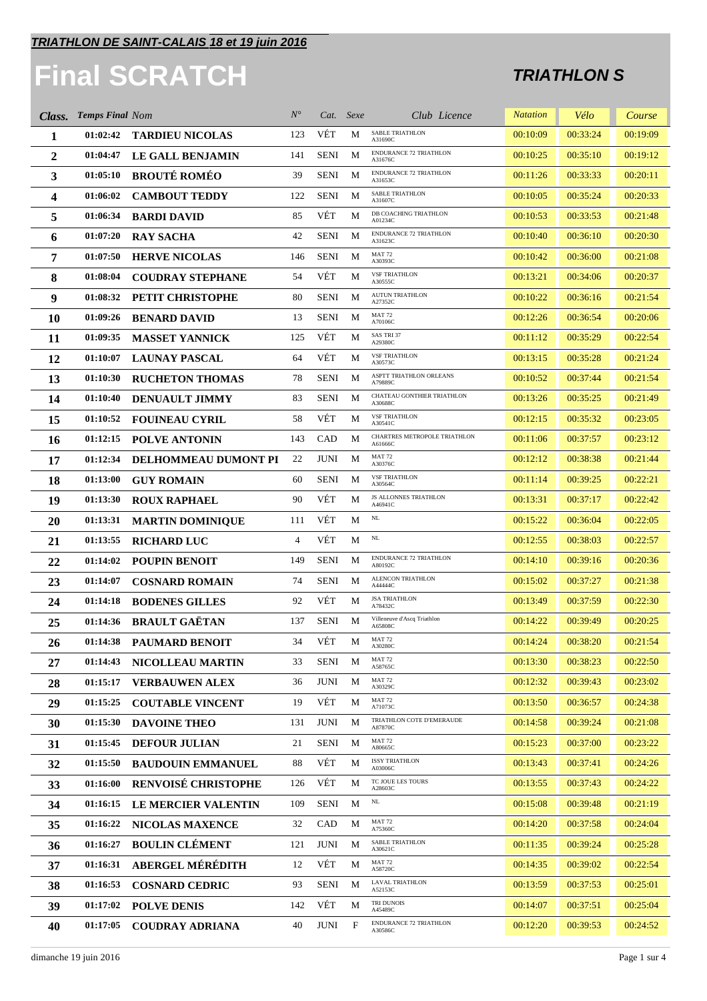# **Final SCRATCH**

| Class.       | <b>Temps Final Nom</b> |                            | $N^{\circ}$    | Cat. Sexe   |   | Club Licence                             | <b>Natation</b> | Vélo     | Course   |
|--------------|------------------------|----------------------------|----------------|-------------|---|------------------------------------------|-----------------|----------|----------|
| 1            | 01:02:42               | <b>TARDIEU NICOLAS</b>     | 123            | VÉT         | M | <b>SABLE TRIATHLON</b><br>A31690C        | 00:10:09        | 00:33:24 | 00:19:09 |
| $\mathbf{2}$ | 01:04:47               | LE GALL BENJAMIN           | 141            | <b>SENI</b> | M | <b>ENDURANCE 72 TRIATHLON</b><br>A31676C | 00:10:25        | 00:35:10 | 00:19:12 |
| 3            | 01:05:10               | <b>BROUTÉ ROMÉO</b>        | 39             | <b>SENI</b> | M | ENDURANCE 72 TRIATHLON<br>A31653C        | 00:11:26        | 00:33:33 | 00:20:11 |
| 4            | 01:06:02               | <b>CAMBOUT TEDDY</b>       | 122            | <b>SENI</b> | M | <b>SABLE TRIATHLON</b><br>A31607C        | 00:10:05        | 00:35:24 | 00:20:33 |
| 5            | 01:06:34               | <b>BARDI DAVID</b>         | 85             | VÉT         | M | DB COACHING TRIATHLON<br>A01234C         | 00:10:53        | 00:33:53 | 00:21:48 |
| 6            | 01:07:20               | <b>RAY SACHA</b>           | 42             | <b>SENI</b> | M | <b>ENDURANCE 72 TRIATHLON</b><br>A31623C | 00:10:40        | 00:36:10 | 00:20:30 |
| 7            | 01:07:50               | <b>HERVE NICOLAS</b>       | 146            | <b>SENI</b> | M | <b>MAT 72</b><br>A30393C                 | 00:10:42        | 00:36:00 | 00:21:08 |
| 8            | 01:08:04               | <b>COUDRAY STEPHANE</b>    | 54             | VÉT         | M | <b>VSF TRIATHLON</b><br>A30555C          | 00:13:21        | 00:34:06 | 00:20:37 |
| 9            | 01:08:32               | PETIT CHRISTOPHE           | 80             | <b>SENI</b> | M | <b>AUTUN TRIATHLON</b><br>A27352C        | 00:10:22        | 00:36:16 | 00:21:54 |
| 10           | 01:09:26               | <b>BENARD DAVID</b>        | 13             | <b>SENI</b> | M | <b>MAT 72</b><br>A70106C                 | 00:12:26        | 00:36:54 | 00:20:06 |
| 11           | 01:09:35               | <b>MASSET YANNICK</b>      | 125            | VÉT         | М | SAS TRI 37<br>A29380C                    | 00:11:12        | 00:35:29 | 00:22:54 |
| 12           | 01:10:07               | <b>LAUNAY PASCAL</b>       | 64             | VÉT         | М | <b>VSF TRIATHLON</b><br>A30573C          | 00:13:15        | 00:35:28 | 00:21:24 |
| 13           | 01:10:30               | <b>RUCHETON THOMAS</b>     | 78             | <b>SENI</b> | M | ASPTT TRIATHLON ORLEANS<br>A79889C       | 00:10:52        | 00:37:44 | 00:21:54 |
| 14           | 01:10:40               | <b>DENUAULT JIMMY</b>      | 83             | <b>SENI</b> | M | CHATEAU GONTHIER TRIATHLON<br>A30688C    | 00:13:26        | 00:35:25 | 00:21:49 |
| 15           | 01:10:52               | <b>FOUINEAU CYRIL</b>      | 58             | VÉT         | M | <b>VSF TRIATHLON</b><br>A30541C          | 00:12:15        | 00:35:32 | 00:23:05 |
| 16           | 01:12:15               | <b>POLVE ANTONIN</b>       | 143            | CAD         | M | CHARTRES METROPOLE TRIATHLON<br>A61666C  | 00:11:06        | 00:37:57 | 00:23:12 |
| 17           | 01:12:34               | DELHOMMEAU DUMONT PI       | 22             | <b>JUNI</b> | M | <b>MAT 72</b><br>A30376C                 | 00:12:12        | 00:38:38 | 00:21:44 |
| 18           | 01:13:00               | <b>GUY ROMAIN</b>          | 60             | <b>SENI</b> | M | <b>VSF TRIATHLON</b><br>A30564C          | 00:11:14        | 00:39:25 | 00:22:21 |
| 19           | 01:13:30               | <b>ROUX RAPHAEL</b>        | 90             | VÉT         | M | JS ALLONNES TRIATHLON<br>A46941C         | 00:13:31        | 00:37:17 | 00:22:42 |
| <b>20</b>    | 01:13:31               | <b>MARTIN DOMINIQUE</b>    | 111            | VÉT         | М | $\rm NL$                                 | 00:15:22        | 00:36:04 | 00:22:05 |
| 21           | 01:13:55               | <b>RICHARD LUC</b>         | $\overline{4}$ | VÉT         | M | $\rm NL$                                 | 00:12:55        | 00:38:03 | 00:22:57 |
| 22           | 01:14:02               | <b>POUPIN BENOIT</b>       | 149            | <b>SENI</b> | M | <b>ENDURANCE 72 TRIATHLON</b><br>A80192C | 00:14:10        | 00:39:16 | 00:20:36 |
| 23           | 01:14:07               | <b>COSNARD ROMAIN</b>      | 74             | <b>SENI</b> | M | <b>ALENCON TRIATHLON</b><br>A44444C      | 00:15:02        | 00:37:27 | 00:21:38 |
| 24           | 01:14:18               | <b>BODENES GILLES</b>      | 92             | VÉT         | M | <b>JSA TRIATHLON</b><br>A78432C          | 00:13:49        | 00:37:59 | 00:22:30 |
| 25           |                        | 01:14:36 BRAULT GAËTAN     | 137            | <b>SENI</b> | M | Villeneuve d'Ascq Triathlon<br>A65808C   | 00:14:22        | 00:39:49 | 00:20:25 |
| 26           | 01:14:38               | <b>PAUMARD BENOIT</b>      | 34             | VÉT         | M | <b>MAT 72</b><br>A30280C                 | 00:14:24        | 00:38:20 | 00:21:54 |
| 27           | 01:14:43               | <b>NICOLLEAU MARTIN</b>    | 33             | <b>SENI</b> | M | MAT 72<br>A58765C                        | 00:13:30        | 00:38:23 | 00:22:50 |
| 28           | 01:15:17               | <b>VERBAUWEN ALEX</b>      | 36             | JUNI        | M | <b>MAT 72</b><br>A30329C                 | 00:12:32        | 00:39:43 | 00:23:02 |
| 29           | 01:15:25               | <b>COUTABLE VINCENT</b>    | 19             | VÉT         | М | MAT 72<br>A71073C                        | 00:13:50        | 00:36:57 | 00:24:38 |
| 30           | 01:15:30               | <b>DAVOINE THEO</b>        | 131            | JUNI        | M | TRIATHLON COTE D'EMERAUDE<br>A87870C     | 00:14:58        | 00:39:24 | 00:21:08 |
| 31           | 01:15:45               | <b>DEFOUR JULIAN</b>       | 21             | <b>SENI</b> | М | MAT <sub>72</sub><br>A80665C             | 00:15:23        | 00:37:00 | 00:23:22 |
| 32           | 01:15:50               | <b>BAUDOUIN EMMANUEL</b>   | 88             | VÉT         | М | <b>ISSY TRIATHLON</b><br>A03006C         | 00:13:43        | 00:37:41 | 00:24:26 |
| 33           | 01:16:00               | <b>RENVOISÉ CHRISTOPHE</b> | 126            | VÉT         | М | TC JOUE LES TOURS<br>A28603C             | 00:13:55        | 00:37:43 | 00:24:22 |
| 34           | 01:16:15               | <b>LE MERCIER VALENTIN</b> | 109            | <b>SENI</b> | M | NL                                       | 00:15:08        | 00:39:48 | 00:21:19 |
| 35           | 01:16:22               | NICOLAS MAXENCE            | 32             | <b>CAD</b>  | M | <b>MAT 72</b><br>A75360C                 | 00:14:20        | 00:37:58 | 00:24:04 |
| 36           | 01:16:27               | <b>BOULIN CLÉMENT</b>      | 121            | JUNI        | M | <b>SABLE TRIATHLON</b><br>A30621C        | 00:11:35        | 00:39:24 | 00:25:28 |
| 37           | 01:16:31               | <b>ABERGEL MÉRÉDITH</b>    | 12             | VÉT         | М | <b>MAT 72</b><br>A58720C                 | 00:14:35        | 00:39:02 | 00:22:54 |
| 38           | 01:16:53               | <b>COSNARD CEDRIC</b>      | 93             | SENI        | M | <b>LAVAL TRIATHLON</b><br>A52153C        | 00:13:59        | 00:37:53 | 00:25:01 |
| 39           | 01:17:02               | <b>POLVE DENIS</b>         | 142            | VÉT         | М | TRI DUNOIS<br>A45489C                    | 00:14:07        | 00:37:51 | 00:25:04 |
| 40           | 01:17:05               | <b>COUDRAY ADRIANA</b>     | 40             | <b>JUNI</b> | F | ENDURANCE 72 TRIATHLON<br>A30586C        | 00:12:20        | 00:39:53 | 00:24:52 |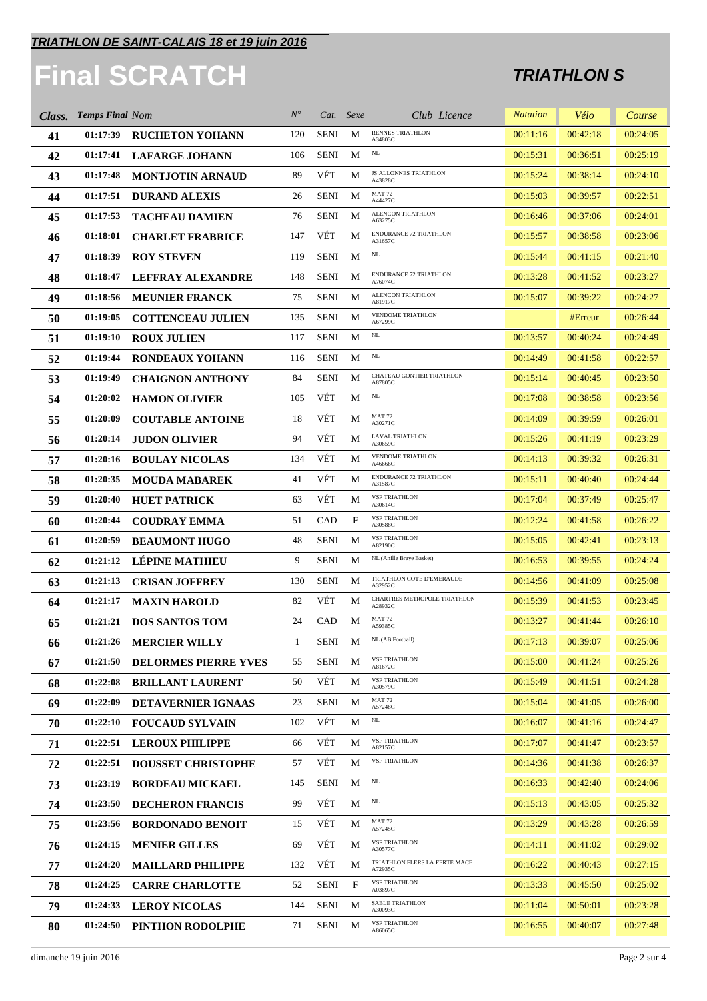#### **TRIATHLON DE SAINT-CALAIS 18 et 19 juin 2016**

# **Final SCRATCH**

| Class. | <b>Temps Final Nom</b> |                             | $N^{\circ}$  |             | Cat. Sexe | Club Licence                             | <b>Natation</b> | Vélo     | Course   |
|--------|------------------------|-----------------------------|--------------|-------------|-----------|------------------------------------------|-----------------|----------|----------|
| 41     | 01:17:39               | <b>RUCHETON YOHANN</b>      | 120          | <b>SENI</b> | M         | <b>RENNES TRIATHLON</b><br>A34803C       | 00:11:16        | 00:42:18 | 00:24:05 |
| 42     | 01:17:41               | <b>LAFARGE JOHANN</b>       | 106          | <b>SENI</b> | M         | NL                                       | 00:15:31        | 00:36:51 | 00:25:19 |
| 43     | 01:17:48               | <b>MONTJOTIN ARNAUD</b>     | 89           | VÉT         | М         | JS ALLONNES TRIATHLON<br>A43828C         | 00:15:24        | 00:38:14 | 00:24:10 |
| 44     | 01:17:51               | <b>DURAND ALEXIS</b>        | 26           | <b>SENI</b> | M         | <b>MAT 72</b><br>A44427C                 | 00:15:03        | 00:39:57 | 00:22:51 |
| 45     | 01:17:53               | <b>TACHEAU DAMIEN</b>       | 76           | <b>SENI</b> | M         | ALENCON TRIATHLON<br>A63275C             | 00:16:46        | 00:37:06 | 00:24:01 |
| 46     | 01:18:01               | <b>CHARLET FRABRICE</b>     | 147          | VÉT         | М         | <b>ENDURANCE 72 TRIATHLON</b><br>A31657C | 00:15:57        | 00:38:58 | 00:23:06 |
| 47     | 01:18:39               | <b>ROY STEVEN</b>           | 119          | <b>SENI</b> | M         | $\rm NL$                                 | 00:15:44        | 00:41:15 | 00:21:40 |
| 48     | 01:18:47               | <b>LEFFRAY ALEXANDRE</b>    | 148          | <b>SENI</b> | M         | ENDURANCE 72 TRIATHLON<br>A76074C        | 00:13:28        | 00:41:52 | 00:23:27 |
| 49     | 01:18:56               | <b>MEUNIER FRANCK</b>       | 75           | <b>SENI</b> | M         | ALENCON TRIATHLON<br>A81917C             | 00:15:07        | 00:39:22 | 00:24:27 |
| 50     | 01:19:05               | <b>COTTENCEAU JULIEN</b>    | 135          | <b>SENI</b> | M         | VENDOME TRIATHLON<br>A67299C             |                 | #Erreur  | 00:26:44 |
| 51     | 01:19:10               | <b>ROUX JULIEN</b>          | 117          | <b>SENI</b> | M         | NL                                       | 00:13:57        | 00:40:24 | 00:24:49 |
| 52     | 01:19:44               | <b>RONDEAUX YOHANN</b>      | 116          | <b>SENI</b> | M         | $\rm NL$                                 | 00:14:49        | 00:41:58 | 00:22:57 |
| 53     | 01:19:49               | <b>CHAIGNON ANTHONY</b>     | 84           | <b>SENI</b> | M         | CHATEAU GONTIER TRIATHLON<br>A87805C     | 00:15:14        | 00:40:45 | 00:23:50 |
| 54     | 01:20:02               | <b>HAMON OLIVIER</b>        | 105          | VÉT         | M         | $\rm NL$                                 | 00:17:08        | 00:38:58 | 00:23:56 |
| 55     | 01:20:09               | <b>COUTABLE ANTOINE</b>     | 18           | VÉT         | M         | <b>MAT 72</b><br>A30271C                 | 00:14:09        | 00:39:59 | 00:26:01 |
| 56     | 01:20:14               | <b>JUDON OLIVIER</b>        | 94           | VÉT         | М         | <b>LAVAL TRIATHLON</b><br>A30659C        | 00:15:26        | 00:41:19 | 00:23:29 |
| 57     | 01:20:16               | <b>BOULAY NICOLAS</b>       | 134          | VÉT         | М         | <b>VENDOME TRIATHLON</b><br>A46666C      | 00:14:13        | 00:39:32 | 00:26:31 |
| 58     | 01:20:35               | <b>MOUDA MABAREK</b>        | 41           | VÉT         | М         | <b>ENDURANCE 72 TRIATHLON</b><br>A31587C | 00:15:11        | 00:40:40 | 00:24:44 |
| 59     | 01:20:40               | <b>HUET PATRICK</b>         | 63           | VÉT         | M         | <b>VSF TRIATHLON</b><br>A30614C          | 00:17:04        | 00:37:49 | 00:25:47 |
| 60     | 01:20:44               | <b>COUDRAY EMMA</b>         | 51           | CAD         | F         | <b>VSF TRIATHLON</b><br>A30588C          | 00:12:24        | 00:41:58 | 00:26:22 |
| 61     | 01:20:59               | <b>BEAUMONT HUGO</b>        | 48           | <b>SENI</b> | M         | <b>VSF TRIATHLON</b><br>A82190C          | 00:15:05        | 00:42:41 | 00:23:13 |
| 62     | 01:21:12               | <b>LÉPINE MATHIEU</b>       | 9            | <b>SENI</b> | M         | NL (Anille Braye Basket)                 | 00:16:53        | 00:39:55 | 00:24:24 |
| 63     | 01:21:13               | <b>CRISAN JOFFREY</b>       | 130          | <b>SENI</b> | M         | TRIATHLON COTE D'EMERAUDE<br>A32952C     | 00:14:56        | 00:41:09 | 00:25:08 |
| 64     | 01:21:17               | <b>MAXIN HAROLD</b>         | 82           | VÉT         | M         | CHARTRES METROPOLE TRIATHLON<br>A28932C  | 00:15:39        | 00:41:53 | 00:23:45 |
| 65     | 01:21:21               | <b>DOS SANTOS TOM</b>       | 24           | CAD         | M         | MAT 72<br>A59385C                        | 00:13:27        | 00:41:44 | 00:26:10 |
| 66     | 01:21:26               | <b>MERCIER WILLY</b>        | $\mathbf{1}$ | SENI        | M         | NL (AB Football)                         | 00:17:13        | 00:39:07 | 00:25:06 |
| 67     | 01:21:50               | <b>DELORMES PIERRE YVES</b> | 55           | <b>SENI</b> | M         | <b>VSF TRIATHLON</b><br>A81672C          | 00:15:00        | 00:41:24 | 00:25:26 |
| 68     | 01:22:08               | <b>BRILLANT LAURENT</b>     | 50           | VÉT         | М         | <b>VSF TRIATHLON</b><br>A30579C          | 00:15:49        | 00:41:51 | 00:24:28 |
| 69     | 01:22:09               | <b>DETAVERNIER IGNAAS</b>   | 23           | SENI        | M         | <b>MAT 72</b><br>A57248C                 | 00:15:04        | 00:41:05 | 00:26:00 |
| 70     | 01:22:10               | <b>FOUCAUD SYLVAIN</b>      | 102          | VÉT         | М         | NL                                       | 00:16:07        | 00:41:16 | 00:24:47 |
| 71     | 01:22:51               | <b>LEROUX PHILIPPE</b>      | 66           | VÉT         | М         | <b>VSF TRIATHLON</b><br>A82157C          | 00:17:07        | 00:41:47 | 00:23:57 |
| 72     | 01:22:51               | <b>DOUSSET CHRISTOPHE</b>   | 57           | VÉT         | М         | <b>VSF TRIATHLON</b>                     | 00:14:36        | 00:41:38 | 00:26:37 |
| 73     | 01:23:19               | <b>BORDEAU MICKAEL</b>      | 145          | <b>SENI</b> | M         | NL                                       | 00:16:33        | 00:42:40 | 00:24:06 |
| 74     | 01:23:50               | <b>DECHERON FRANCIS</b>     | 99           | VÉT         | M         | NL                                       | 00:15:13        | 00:43:05 | 00:25:32 |
| 75     | 01:23:56               | <b>BORDONADO BENOIT</b>     | 15           | VÉT         | М         | <b>MAT 72</b><br>A57245C                 | 00:13:29        | 00:43:28 | 00:26:59 |
| 76     | 01:24:15               | <b>MENIER GILLES</b>        | 69           | VÉT         | М         | <b>VSF TRIATHLON</b><br>A30577C          | 00:14:11        | 00:41:02 | 00:29:02 |
| 77     | 01:24:20               | <b>MAILLARD PHILIPPE</b>    | 132          | VÉT         | М         | TRIATHLON FLERS LA FERTE MACE<br>A72935C | 00:16:22        | 00:40:43 | 00:27:15 |
| 78     | 01:24:25               | <b>CARRE CHARLOTTE</b>      | 52           | SENI        | F         | <b>VSF TRIATHLON</b><br>A03897C          | 00:13:33        | 00:45:50 | 00:25:02 |
| 79     | 01:24:33               | <b>LEROY NICOLAS</b>        | 144          | SENI        | М         | <b>SABLE TRIATHLON</b><br>A30093C        | 00:11:04        | 00:50:01 | 00:23:28 |
| 80     | 01:24:50               | PINTHON RODOLPHE            | 71           | SENI        | М         | <b>VSF TRIATHLON</b><br>A86065C          | 00:16:55        | 00:40:07 | 00:27:48 |
|        |                        |                             |              |             |           |                                          |                 |          |          |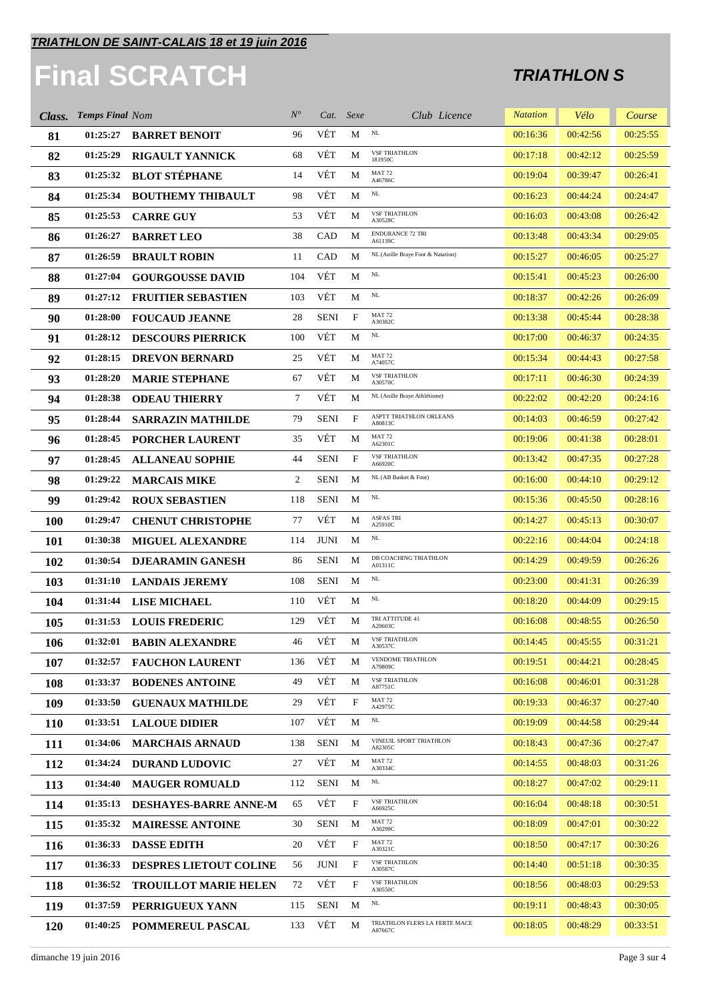# **Final SCRATCH**

| Class.     | <b>Temps Final Nom</b> |                               | $N^{\circ}$ |             | Cat. Sexe                 | Club Licence                             | <b>Natation</b> | Vélo     | Course   |
|------------|------------------------|-------------------------------|-------------|-------------|---------------------------|------------------------------------------|-----------------|----------|----------|
| 81         | 01:25:27               | <b>BARRET BENOIT</b>          | 96          | VÉT         | М                         | $\rm NL$                                 | 00:16:36        | 00:42:56 | 00:25:55 |
| 82         | 01:25:29               | <b>RIGAULT YANNICK</b>        | 68          | VÉT         | М                         | <b>VSF TRIATHLON</b><br>181950C          | 00:17:18        | 00:42:12 | 00:25:59 |
| 83         | 01:25:32               | <b>BLOT STÉPHANE</b>          | 14          | VÉT         | М                         | <b>MAT 72</b><br>A46786C                 | 00:19:04        | 00:39:47 | 00:26:41 |
| 84         | 01:25:34               | <b>BOUTHEMY THIBAULT</b>      | 98          | VÉT         | М                         | $\rm NL$                                 | 00:16:23        | 00:44:24 | 00:24:47 |
| 85         | 01:25:53               | <b>CARRE GUY</b>              | 53          | VÉT         | М                         | <b>VSF TRIATHLON</b><br>A30528C          | 00:16:03        | 00:43:08 | 00:26:42 |
| 86         | 01:26:27               | <b>BARRET LEO</b>             | 38          | CAD         | М                         | <b>ENDURANCE 72 TRI</b><br>A61139C       | 00:13:48        | 00:43:34 | 00:29:05 |
| 87         | 01:26:59               | <b>BRAULT ROBIN</b>           | 11          | CAD         | M                         | NL (Anille Braye Foot & Natation)        | 00:15:27        | 00:46:05 | 00:25:27 |
| 88         | 01:27:04               | <b>GOURGOUSSE DAVID</b>       | 104         | VÉT         | M                         | NL                                       | 00:15:41        | 00:45:23 | 00:26:00 |
| 89         | 01:27:12               | <b>FRUITIER SEBASTIEN</b>     | 103         | VÉT         | M                         | $\rm NL$                                 | 00:18:37        | 00:42:26 | 00:26:09 |
| 90         | 01:28:00               | <b>FOUCAUD JEANNE</b>         | 28          | <b>SENI</b> | $\mathbf{F}$              | <b>MAT 72</b><br>A30382C                 | 00:13:38        | 00:45:44 | 00:28:38 |
| 91         | 01:28:12               | <b>DESCOURS PIERRICK</b>      | 100         | VÉT         | М                         | $\rm NL$                                 | 00:17:00        | 00:46:37 | 00:24:35 |
| 92         | 01:28:15               | <b>DREVON BERNARD</b>         | 25          | VÉT         | М                         | <b>MAT 72</b><br>A74057C                 | 00:15:34        | 00:44:43 | 00:27:58 |
| 93         | 01:28:20               | <b>MARIE STEPHANE</b>         | 67          | VÉT         | М                         | <b>VSF TRIATHLON</b><br>A30570C          | 00:17:11        | 00:46:30 | 00:24:39 |
| 94         | 01:28:38               | <b>ODEAU THIERRY</b>          | $\tau$      | VÉT         | M                         | NL (Anille Braye Athlétisme)             | 00:22:02        | 00:42:20 | 00:24:16 |
| 95         | 01:28:44               | <b>SARRAZIN MATHILDE</b>      | 79          | <b>SENI</b> | $\mathbf{F}$              | ASPTT TRIATHLON ORLEANS<br>A80813C       | 00:14:03        | 00:46:59 | 00:27:42 |
| 96         | 01:28:45               | <b>PORCHER LAURENT</b>        | 35          | VÉT         | М                         | <b>MAT 72</b><br>A62301C                 | 00:19:06        | 00:41:38 | 00:28:01 |
| 97         | 01:28:45               | <b>ALLANEAU SOPHIE</b>        | 44          | <b>SENI</b> | $\mathbf{F}$              | <b>VSF TRIATHLON</b><br>A66920C          | 00:13:42        | 00:47:35 | 00:27:28 |
| 98         | 01:29:22               | <b>MARCAIS MIKE</b>           | 2           | <b>SENI</b> | M                         | NL (AB Basket & Foot)                    | 00:16:00        | 00:44:10 | 00:29:12 |
| 99         | 01:29:42               | <b>ROUX SEBASTIEN</b>         | 118         | <b>SENI</b> | M                         | NL                                       | 00:15:36        | 00:45:50 | 00:28:16 |
| <b>100</b> | 01:29:47               | <b>CHENUT CHRISTOPHE</b>      | 77          | VÉT         | М                         | <b>ASFAS TRI</b><br>A25910C              | 00:14:27        | 00:45:13 | 00:30:07 |
| 101        | 01:30:38               | <b>MIGUEL ALEXANDRE</b>       | 114         | <b>JUNI</b> | M                         | $_{\rm NL}$                              | 00:22:16        | 00:44:04 | 00:24:18 |
| 102        | 01:30:54               | <b>DJEARAMIN GANESH</b>       | 86          | <b>SENI</b> | M                         | DB COACHING TRIATHLON<br>A01311C         | 00:14:29        | 00:49:59 | 00:26:26 |
| 103        | 01:31:10               | <b>LANDAIS JEREMY</b>         | 108         | <b>SENI</b> | M                         | $\rm NL$                                 | 00:23:00        | 00:41:31 | 00:26:39 |
| 104        | 01:31:44               | <b>LISE MICHAEL</b>           | 110         | VÉT         | М                         | $\rm NL$                                 | 00:18:20        | 00:44:09 | 00:29:15 |
| 105        | 01:31:53               | <b>LOUIS FREDERIC</b>         | 129         | VÉT         | М                         | TRI ATTITUDE 41<br>A29603C               | 00:16:08        | 00:48:55 | 00:26:50 |
| 106        | 01:32:01               | <b>BABIN ALEXANDRE</b>        | 46          | VÉT         | M                         | <b>VSF TRIATHLON</b><br>A30537C          | 00:14:45        | 00:45:55 | 00:31:21 |
| 107        | 01:32:57               | <b>FAUCHON LAURENT</b>        | 136         | VÉT         | M                         | VENDOME TRIATHLON<br>A79809C             | 00:19:51        | 00:44:21 | 00:28:45 |
| 108        | 01:33:37               | <b>BODENES ANTOINE</b>        | 49          | VÉT         | М                         | <b>VSF TRIATHLON</b><br>A87751C          | 00:16:08        | 00:46:01 | 00:31:28 |
| 109        | 01:33:50               | <b>GUENAUX MATHILDE</b>       | 29          | VÉT         | $\boldsymbol{\mathrm{F}}$ | <b>MAT 72</b><br>A42975C                 | 00:19:33        | 00:46:37 | 00:27:40 |
| <b>110</b> | 01:33:51               | <b>LALOUE DIDIER</b>          | 107         | VÉT         | М                         | $\rm NL$                                 | 00:19:09        | 00:44:58 | 00:29:44 |
| 111        | 01:34:06               | <b>MARCHAIS ARNAUD</b>        | 138         | <b>SENI</b> | M                         | VINEUIL SPORT TRIATHLON<br>A82305C       | 00:18:43        | 00:47:36 | 00:27:47 |
| 112        | 01:34:24               | <b>DURAND LUDOVIC</b>         | 27          | VÉT         | М                         | <b>MAT 72</b><br>A30334C                 | 00:14:55        | 00:48:03 | 00:31:26 |
| 113        | 01:34:40               | <b>MAUGER ROMUALD</b>         | 112         | SENI        | M                         | NL                                       | 00:18:27        | 00:47:02 | 00:29:11 |
| 114        | 01:35:13               | <b>DESHAYES-BARRE ANNE-M</b>  | 65          | VÉT         | $\mathbf{F}$              | <b>VSF TRIATHLON</b><br>A66925C          | 00:16:04        | 00:48:18 | 00:30:51 |
| 115        | 01:35:32               | <b>MAIRESSE ANTOINE</b>       | 30          | <b>SENI</b> | M                         | <b>MAT 72</b><br>A30299C                 | 00:18:09        | 00:47:01 | 00:30:22 |
| <b>116</b> | 01:36:33               | <b>DASSE EDITH</b>            | 20          | VÉT         | $\boldsymbol{\mathrm{F}}$ | <b>MAT 72</b><br>A30321C                 | 00:18:50        | 00:47:17 | 00:30:26 |
| 117        | 01:36:33               | <b>DESPRES LIETOUT COLINE</b> | 56          | JUNI        | $\mathbf{F}$              | <b>VSF TRIATHLON</b><br>A30587C          | 00:14:40        | 00:51:18 | 00:30:35 |
| 118        | 01:36:52               | <b>TROUILLOT MARIE HELEN</b>  | 72          | VÉT         | F                         | <b>VSF TRIATHLON</b><br>A30550C          | 00:18:56        | 00:48:03 | 00:29:53 |
| <b>119</b> | 01:37:59               | PERRIGUEUX YANN               | 115         | <b>SENI</b> | M                         | NL                                       | 00:19:11        | 00:48:43 | 00:30:05 |
| 120        | 01:40:25               | POMMEREUL PASCAL              | 133         | VÉT         | М                         | TRIATHLON FLERS LA FERTE MACE<br>A87667C | 00:18:05        | 00:48:29 | 00:33:51 |
|            |                        |                               |             |             |                           |                                          |                 |          |          |